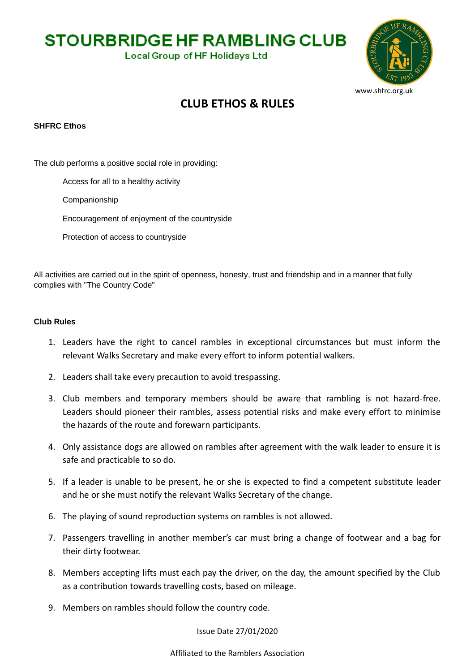**STOURBRIDGE HF RAMBLING CLUB** 

**Local Group of HF Holidays Ltd** 



## **CLUB ETHOS & RULES**

## **SHFRC Ethos**

The club performs a positive social role in providing:

Access for all to a healthy activity

Companionship

Encouragement of enjoyment of the countryside

Protection of access to countryside

All activities are carried out in the spirit of openness, honesty, trust and friendship and in a manner that fully complies with "The Country Code"

## **Club Rules**

- 1. Leaders have the right to cancel rambles in exceptional circumstances but must inform the relevant Walks Secretary and make every effort to inform potential walkers.
- 2. Leaders shall take every precaution to avoid trespassing.
- 3. Club members and temporary members should be aware that rambling is not hazard-free. Leaders should pioneer their rambles, assess potential risks and make every effort to minimise the hazards of the route and forewarn participants.
- 4. Only assistance dogs are allowed on rambles after agreement with the walk leader to ensure it is safe and practicable to so do.
- 5. If a leader is unable to be present, he or she is expected to find a competent substitute leader and he or she must notify the relevant Walks Secretary of the change.
- 6. The playing of sound reproduction systems on rambles is not allowed.
- 7. Passengers travelling in another member's car must bring a change of footwear and a bag for their dirty footwear.
- 8. Members accepting lifts must each pay the driver, on the day, the amount specified by the Club as a contribution towards travelling costs, based on mileage.
- 9. Members on rambles should follow the country code.

Issue Date 27/01/2020